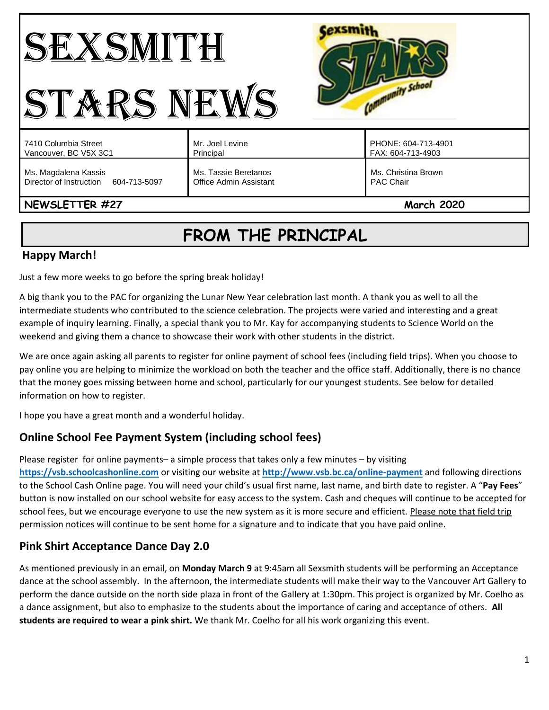#### Cexsmith SEXSMITH Community School STARS NEWS PHONE: 604-713-4901 7410 Columbia Street Mr. Joel Levine Vancouver, BC V5X 3C1 Principal FAX: 604-713-4903 Ms. Magdalena Kassis Ms. Tassie Beretanos Ms. Christina Brown Director of Instruction 604-713-5097 Office Admin Assistant PAC Chair **NEWSLETTER #27** March<sub>2020</sub>

# **FROM THE PRINCIPAL**

# **Happy March!**

Just a few more weeks to go before the spring break holiday!

A big thank you to the PAC for organizing the Lunar New Year celebration last month. A thank you as well to all the intermediate students who contributed to the science celebration. The projects were varied and interesting and a great example of inquiry learning. Finally, a special thank you to Mr. Kay for accompanying students to Science World on the weekend and giving them a chance to showcase their work with other students in the district.

We are once again asking all parents to register for online payment of school fees (including field trips). When you choose to pay online you are helping to minimize the workload on both the teacher and the office staff. Additionally, there is no chance that the money goes missing between home and school, particularly for our youngest students. See below for detailed information on how to register.

I hope you have a great month and a wonderful holiday.

# **Online School Fee Payment System (including school fees)**

Please register for online payments– a simple process that takes only a few minutes – by visiting **[https://vsb.schoolcashonline.com](https://vsb.schoolcashonline.com/)** or visiting our website at **<http://www.vsb.bc.ca/online-payment>** and following directions to the School Cash Online page. You will need your child's usual first name, last name, and birth date to register. A "**Pay Fees**" button is now installed on our school website for easy access to the system. Cash and cheques will continue to be accepted for school fees, but we encourage everyone to use the new system as it is more secure and efficient. Please note that field trip permission notices will continue to be sent home for a signature and to indicate that you have paid online.

# **Pink Shirt Acceptance Dance Day 2.0**

As mentioned previously in an email, on **Monday March 9** at 9:45am all Sexsmith students will be performing an Acceptance dance at the school assembly. In the afternoon, the intermediate students will make their way to the Vancouver Art Gallery to perform the dance outside on the north side plaza in front of the Gallery at 1:30pm. This project is organized by Mr. Coelho as a dance assignment, but also to emphasize to the students about the importance of caring and acceptance of others. **All students are required to wear a pink shirt.** We thank Mr. Coelho for all his work organizing this event.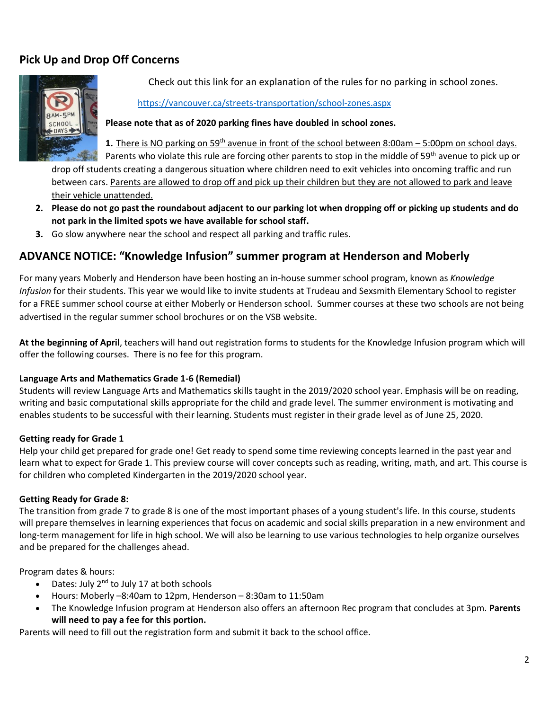# **Pick Up and Drop Off Concerns**



Check out this link for an explanation of the rules for no parking in school zones.

#### <https://vancouver.ca/streets-transportation/school-zones.aspx>

#### **Please note that as of 2020 parking fines have doubled in school zones.**

1. There is NO parking on 59<sup>th</sup> avenue in front of the school between 8:00am – 5:00pm on school days. Parents who violate this rule are forcing other parents to stop in the middle of 59<sup>th</sup> avenue to pick up or drop off students creating a dangerous situation where children need to exit vehicles into oncoming traffic and run between cars. Parents are allowed to drop off and pick up their children but they are not allowed to park and leave their vehicle unattended.

- **2. Please do not go past the roundabout adjacent to our parking lot when dropping off or picking up students and do not park in the limited spots we have available for school staff.**
- **3.** Go slow anywhere near the school and respect all parking and traffic rules.

### **ADVANCE NOTICE: "Knowledge Infusion" summer program at Henderson and Moberly**

For many years Moberly and Henderson have been hosting an in-house summer school program, known as *Knowledge Infusion* for their students. This year we would like to invite students at Trudeau and Sexsmith Elementary School to register for a FREE summer school course at either Moberly or Henderson school. Summer courses at these two schools are not being advertised in the regular summer school brochures or on the VSB website.

**At the beginning of April**, teachers will hand out registration forms to students for the Knowledge Infusion program which will offer the following courses. There is no fee for this program.

#### **Language Arts and Mathematics Grade 1-6 (Remedial)**

Students will review Language Arts and Mathematics skills taught in the 2019/2020 school year. Emphasis will be on reading, writing and basic computational skills appropriate for the child and grade level. The summer environment is motivating and enables students to be successful with their learning. Students must register in their grade level as of June 25, 2020.

#### **Getting ready for Grade 1**

Help your child get prepared for grade one! Get ready to spend some time reviewing concepts learned in the past year and learn what to expect for Grade 1. This preview course will cover concepts such as reading, writing, math, and art. This course is for children who completed Kindergarten in the 2019/2020 school year.

#### **Getting Ready for Grade 8:**

The transition from grade 7 to grade 8 is one of the most important phases of a young student's life. In this course, students will prepare themselves in learning experiences that focus on academic and social skills preparation in a new environment and long-term management for life in high school. We will also be learning to use various technologies to help organize ourselves and be prepared for the challenges ahead.

Program dates & hours:

- Dates: July  $2^{nd}$  to July 17 at both schools
- Hours: Moberly –8:40am to 12pm, Henderson 8:30am to 11:50am
- The Knowledge Infusion program at Henderson also offers an afternoon Rec program that concludes at 3pm. **Parents will need to pay a fee for this portion.**

Parents will need to fill out the registration form and submit it back to the school office.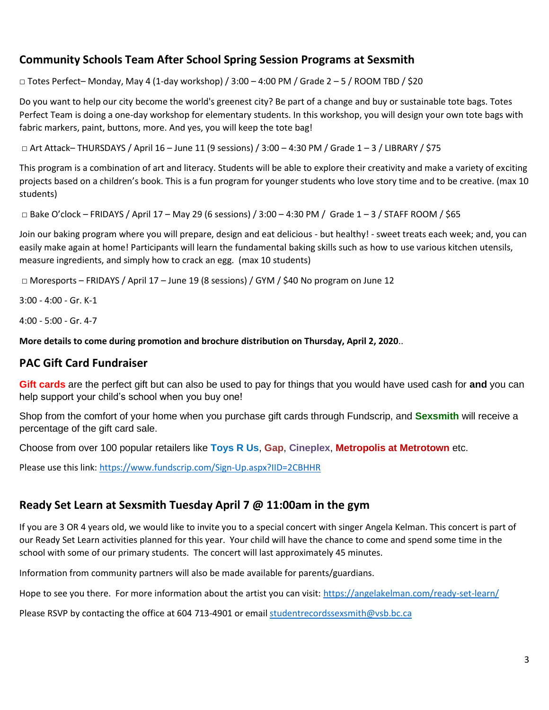# **Community Schools Team After School Spring Session Programs at Sexsmith**

**□** Totes Perfect– Monday, May 4 (1-day workshop) / 3:00 – 4:00 PM / Grade 2 – 5 / ROOM TBD / \$20

Do you want to help our city become the world's greenest city? Be part of a change and buy or sustainable tote bags. Totes Perfect Team is doing a one-day workshop for elementary students. In this workshop, you will design your own tote bags with fabric markers, paint, buttons, more. And yes, you will keep the tote bag!

 $\Box$  Art Attack– THURSDAYS / April 16 – June 11 (9 sessions) / 3:00 – 4:30 PM / Grade 1 – 3 / LIBRARY / \$75

This program is a combination of art and literacy. Students will be able to explore their creativity and make a variety of exciting projects based on a children's book. This is a fun program for younger students who love story time and to be creative. (max 10 students)

 $\Box$  Bake O'clock – FRIDAYS / April 17 – May 29 (6 sessions) / 3:00 – 4:30 PM / Grade 1 – 3 / STAFF ROOM / \$65

Join our baking program where you will prepare, design and eat delicious - but healthy! - sweet treats each week; and, you can easily make again at home! Participants will learn the fundamental baking skills such as how to use various kitchen utensils, measure ingredients, and simply how to crack an egg. (max 10 students)

□ Moresports – FRIDAYS / April 17 – June 19 (8 sessions) / GYM / \$40 No program on June 12

3:00 - 4:00 - Gr. K-1

4:00 - 5:00 - Gr. 4-7

**More details to come during promotion and brochure distribution on Thursday, April 2, 2020**..

### **PAC Gift Card Fundraiser**

**Gift cards** are the perfect gift but can also be used to pay for things that you would have used cash for **and** you can help support your child's school when you buy one!

Shop from the comfort of your home when you purchase gift cards through Fundscrip, and **Sexsmith** will receive a percentage of the gift card sale.

Choose from over 100 popular retailers like **Toys R Us**, **Gap**, **Cineplex**, **Metropolis at Metrotown** etc.

Please use this link:<https://www.fundscrip.com/Sign-Up.aspx?IID=2CBHHR>

### **Ready Set Learn at Sexsmith Tuesday April 7 @ 11:00am in the gym**

If you are 3 OR 4 years old, we would like to invite you to a special concert with singer Angela Kelman. This concert is part of our Ready Set Learn activities planned for this year. Your child will have the chance to come and spend some time in the school with some of our primary students. The concert will last approximately 45 minutes.

Information from community partners will also be made available for parents/guardians.

Hope to see you there. For more information about the artist you can visit[: https://angelakelman.com/ready-set-learn/](https://angelakelman.com/ready-set-learn/)

Please RSVP by contacting the office at 604 713-4901 or email [studentrecordssexsmith@vsb.bc.ca](mailto:studentrecordssexsmith@vsb.bc.ca)